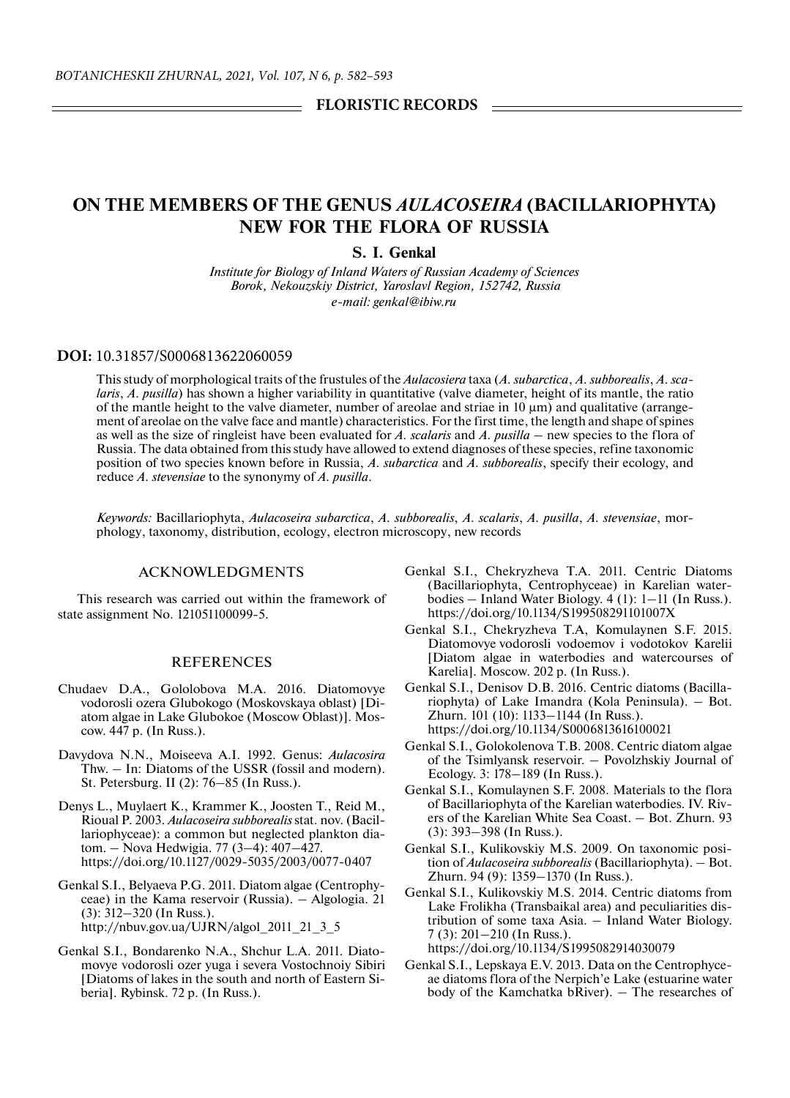## FLORISTIC RECORDS

# **ON THE MEMBERS OF THE GENUS** *AULACOSEIRA* **(BACILLARIOPHYTA) NEW FOR THE FLORA OF RUSSIA**

**S. I. Genkal** *Institute for Biology of Inland Waters of Russian Academy of Sciences Borok, Nekouzskiy District, Yaroslavl Region, 152742, Russia e-mail: genkal@ibiw.ru*

### **DOI:** 10.31857/S0006813622060059

This study of morphological traits of the frustules of the *Aulacosiera* taxa (*A. subarctica*, *A. subborealis*, *A. scalaris*, *A. pusilla*) has shown a higher variability in quantitative (valve diameter, height of its mantle, the ratio of the mantle height to the valve diameter, number of areolae and striae in 10 μm) and qualitative (arrangement of areolae on the valve face and mantle) characteristics. For the first time, the length and shape of spines as well as the size of ringleist have been evaluated for *A. scalaris* and *A. pusilla* – new species to the flora of Russia. The data obtained from this study have allowed to extend diagnoses of these species, refine taxonomic position of two species known before in Russia, *A. subarctica* and *A. subborealis*, specify their ecology, and reduce *A. stevensiae* to the synonymy of *A. pusilla*.

*Keywords:* Bacillariophyta, *Aulacoseira subarctica*, *A. subborealis*, *A. scalaris*, *A. pusilla*, *A. stevensiae*, mоrphology, taxonomy, distribution, ecology, electron microscopy, new records

### ACKNOWLEDGMENTS

This research was carried out within the framework of state assignment No. 121051100099-5.

#### REFERENCES

- Chudaev D.A., Gololobova M.A. 2016. Diatomovye vodorosli ozera Glubokogo (Moskovskaya oblast) [Diatom algae in Lake Glubokoe (Moscow Oblast)]. Мoscow. 447 p. (In Russ.).
- Davydova N.N., Moiseeva А.I. 1992. Genus: *Aulacosira* Thw. – In: Diatoms of the USSR (fossil and modern). St. Petersburg. II (2): 76–85 (In Russ.).
- Denys L., Muylaert K., Krammer K., Joosten T., Reid M., Rioual P. 2003. *Aulacoseira subborealis* stat. nov. (Bacillariophyceae): a common but neglected plankton diatom. – Nova Hedwigia. 77 (3–4): 407–427. https://doi.org/10.1127/0029-5035/2003/0077-0407
- Genkal S.I., Belyaeva P.G. 2011. Diatom algae (Centrophyceae) in the Kama reservoir (Russia). – Algologia. 21 (3): 312–320 (In Russ.). http://nbuv.gov.ua/UJRN/algol\_2011\_21\_3\_5
- Genkal S.I., Bondarenko N.A., Shchur L.A. 2011. Diatomovye vodorosli ozer yuga i severa Vostochnoiy Sibiri [Diatoms of lakes in the south and north of Eastern Siberia]. Rybinsk. 72 p. (In Russ.).
- Genkal S.I., Chekryzheva T.A. 2011. Centric Diatoms (Bacillariophyta, Centrophyceae) in Karelian waterbodies – Inland Water Biology. 4 (1): 1–11 (In Russ.). https://doi.org/10.1134/S199508291101007X
- Genkal S.I., Chekryzheva T.A, Komulaynen S.F. 2015. Diatomovye vodorosli vodoemov i vodotokov Karelii [Diatom algae in waterbodies and watercourses of Karelia]. Moscow. 202 p. (In Russ.).
- Genkal S.I., Denisov D.B. 2016. Centric diatoms (Bacillariophyta) of Lake Imandra (Коla Peninsula). – Bot. Zhurn. 101 (10): 1133–1144 (In Russ.). https://doi.org/10.1134/S0006813616100021
- Genkal S.I., Golokolenova T.B. 2008. Centric diatom algae of the Tsimlyansk reservoir. – Povolzhskiy Journal of Ecology. 3: 178–189 (In Russ.).
- Genkal S.I., Komulaynen S.F. 2008. Materials to the flora of Bacillariophyta of the Karelian waterbodies. IV. Rivers of the Karelian White Sea Coast. – Bot. Zhurn. 93 (3): 393–398 (In Russ.).
- Genkal S.I., Kulikovskiy M.S. 2009. On taxonomic position of *Aulacoseira subborealis* (Bacillariophyta). – Bot. Zhurn. 94 (9): 1359–1370 (In Russ.).
- Genkal S.I., Kulikovskiy M.S. 2014. Centric diatoms from Lake Frolikha (Transbaikal area) and peculiarities distribution of some taxa Asia. – Inland Water Biology. 7 (3): 201–210 (In Russ.). https://doi.org/10.1134/S1995082914030079
- Genkal S.I., Lepskaya E.V. 2013. Data on the Centrophyceae diatoms flora of the Nerpich'e Lake (estuarine water body of the Kamchatka bRiver). – The researches of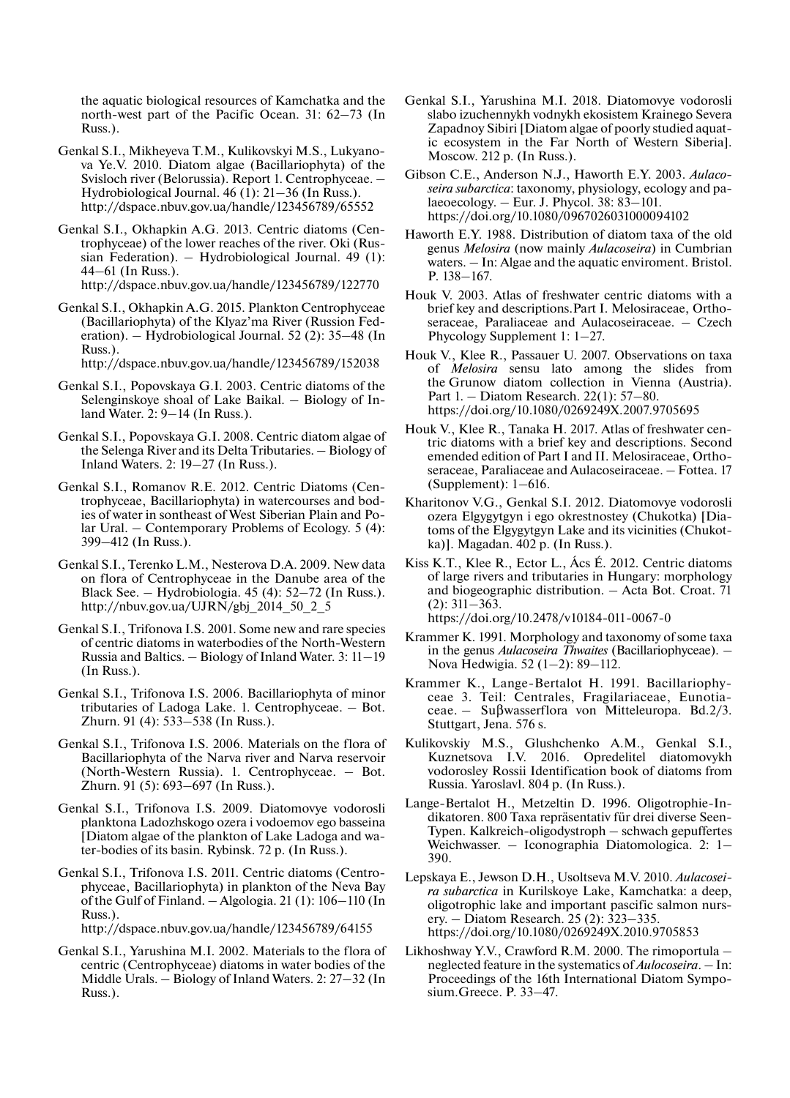the aquatic biological resources of Kamchatka and the north-west part of the Pacific Ocean. 31: 62–73 (In Russ.).

- Genkal S.I., Mikheyeva T.M., Kulikovskyi M.S., Lukyanova Ye.V. 2010. Diatom algae (Bacillariophyta) of the Svisloch river (Belorussia). Report 1. Centrophyceae. – Hydrobiological Journal. 46 (1): 21–36 (In Russ.). http://dspace.nbuv.gov.ua/handle/123456789/65552
- Genkal S.I., Okhapkin A.G. 2013. Centric diatoms (Centrophyceae) of the lower reaches of the river. Oki (Russian Federation). – Hydrobiological Journal. 49 (1): 44–61 (In Russ.). http://dspace.nbuv.gov.ua/handle/123456789/122770
- Genkal S.I., Okhapkin A.G. 2015. Plankton Centrophyceae (Bacillariophyta) of the Klyaz'ma River (Russion Federation). – Hydrobiological Journal. 52 (2): 35–48 (In Russ.).

http://dspace.nbuv.gov.ua/handle/123456789/152038

- Genkal S.I., Popovskaya G.I. 2003. Centric diatoms of the Selenginskoye shoal of Lake Baikal. – Biology of Inland Water. 2: 9–14 (In Russ.).
- Genkal S.I., Popovskaya G.I. 2008. Centric diatom algae of the Selenga River and its Delta Tributaries. – Biology of Inland Waters. 2: 19–27 (In Russ.).
- Genkal S.I., Romanov R.E. 2012. Centric Diatoms (Centrophyceae, Bacillariophyta) in watercourses and bodies of water in sontheast of West Siberian Plain and Polar Ural. – Contemporary Problems of Ecology. 5 (4): 399–412 (In Russ.).
- Genkal S.I., Terenko L.M., Nesterova D.A. 2009. New data on flora of Centrophyceae in the Danube area of the Black See. – Hydrobiologia. 45 (4): 52–72 (In Russ.). http://nbuv.gov.ua/UJRN/gbj\_2014\_50\_2\_5
- Genkal S.I., Trifonova I.S. 2001. Some new and rare species of centric diatoms in waterbodies of the North-Western Russia and Baltics. – Biology of Inland Water. 3: 11–19 (In Russ.).
- Genkal S.I., Trifonova I.S. 2006. Bacillariophyta of minor tributaries of Ladoga Lake. 1. Centrophyceae. – Bot. Zhurn. 91 (4): 533–538 (In Russ.).
- Genkal S.I., Trifonova I.S. 2006. Materials on the flora of Bacillariophyta of the Narva river and Narva reservoir (North-Western Russia). 1. Centrophyceae. – Bot. Zhurn. 91 (5): 693–697 (In Russ.).
- Genkal S.I., Trifonova I.S. 2009. Diatomovye vodorosli planktona Ladozhskogo ozera i vodoemov ego basseina [Diatom algae of the plankton of Lake Ladoga and water-bodies of its basin. Rybinsk. 72 p. (In Russ.).
- Genkal S.I., Trifonova I.S. 2011. Centric diatoms (Centrophyceae, Bacillariophyta) in plankton of the Neva Bay of the Gulf of Finland. – Algologia. 21 (1): 106–110 (In Russ.). http://dspace.nbuv.gov.ua/handle/123456789/64155
- Genkal S.I., Yarushina M.I. 2002. Маterials to the flora of centric (Centrophyceae) diatoms in water bodies of the Middle Urals. – Biology of Inland Waters. 2: 27–32 (In Russ.).
- Genkal S.I., Yarushina M.I. 2018. Diatomovye vodorosli slabo izuchennykh vodnykh ekosistem Krainego Severa Zapadnoy Sibiri [Diatom algae of poorly studied aquatic ecosystem in the Far North of Western Siberia]. Мoscow. 212 p. (In Russ.).
- Gibson C.E., Anderson N.J., Haworth E.Y. 2003. *Aulacoseira subarctica*: taxonomy, physiology, ecology and palaeoecology. – Eur. J. Phycol. 38: 83–101. https://doi.org/10.1080/0967026031000094102
- Haworth E.Y. 1988. Distribution of diatom taxa of the old genus *Melosira* (now mainly *Aulacoseira*) in Cumbrian waters. – In: Algae and the aquatic enviroment. Bristol. P. 138–167.
- Houk V. 2003. Atlas of freshwater centric diatoms with a brief key and descriptions.Part I. Melosiraceae, Orthoseraceae, Paraliaceae and Aulacoseiraceae. – Czech Phycology Supplement 1: 1–27.
- Houk V., Klee R., Passauer U. 2007. Observations on taxa of *Melosira* sensu lato among the slides from the Grunow diatom collection in Vienna (Austria). Part 1. – Diatom Research. 22(1): 57–80. https://doi.org/10.1080/0269249X.2007.9705695
- Houk V., Klee R., Tanaka H. 2017. Atlas of freshwater centric diatoms with a brief key and descriptions. Second emended edition of Part I and II. Melosiraceae, Orthoseraceae, Paraliaceae and Aulacoseiraceae. – Fottea. 17 (Supplement): 1–616.
- Kharitonov V.G., Genkal S.I. 2012. Diatomovye vodorosli ozera Elgygytgyn i ego okrestnostey (Chukotka) [Diatoms of the Elgygytgyn Lake and its vicinities (Chukotka)]. Magadan. 402 p. (In Russ.).
- Kiss K.T., Klee R., Ector L., Ács É. 2012. Centric diatoms of large rivers and tributaries in Hungary: morphology and biogeographic distribution. – Acta Bot. Croat. 71 (2): 311–363.
	- https://doi.org/10.2478/v10184-011-0067-0
- Krammer K. 1991. Morphology and taxonomy of some taxa in the genus *Aulacoseira Thwaites* (Bacillariophyceae). – Nova Hedwigia. 52 (1–2): 89–112.
- Krammer K., Lange-Bertalot H. 1991. Bacillariophyceae 3. Teil: Centrales, Fragilariaceae, Eunotiaceae. – Suβwasserflora von Mitteleuropa. Bd.2/3. Stuttgart, Jena. 576 s.
- Kulikovskiy M.S., Glushchenko A.M., Genkal S.I., Kuznetsova I.V. 2016. Opredelitel diatomovykh vodorosley Rossii Identification book of diatoms from Russia. Yaroslavl. 804 p. (In Russ.).
- Lange-Bertalot H., Metzeltin D. 1996. Oligotrophie-Indikatoren. 800 Taxa repräsentativ für drei diverse Seen-Typen. Kalkreich-oligodystroph – schwach gepuffertes Weichwasser. – Iconographia Diatomologica. 2: 1– 390.
- Lepskaya E., Jewson D.H., Usoltseva M.V. 2010. *Aulacoseira subarctica* in Kurilskoye Lake, Kamchatka: a deep, oligotrophic lake and important pascific salmon nursery. – Diatom Research. 25 (2): 323–335. https://doi.org/10.1080/0269249X.2010.9705853
- Likhoshway Y.V., Crawford R.M. 2000. The rimoportula neglected feature in the systematics of *Aulocoseira*. – In: Proceedings of the 16th International Diatom Symposium.Greece. P. 33–47.